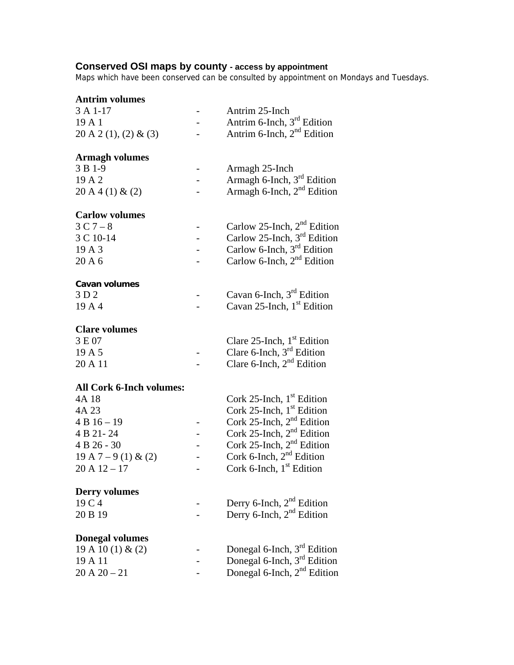#### **Conserved OSI maps by county - access by appointment**

Maps which have been conserved can be consulted by appointment on Mondays and Tuesdays.

| <b>Antrim volumes</b>           |                          |                                         |
|---------------------------------|--------------------------|-----------------------------------------|
| 3 A 1-17                        |                          | Antrim 25-Inch                          |
| 19 A 1                          | $\overline{\phantom{0}}$ | Antrim 6-Inch, 3 <sup>rd</sup> Edition  |
| 20 A 2 (1), (2) & (3)           |                          | Antrim 6-Inch, $2nd$ Edition            |
| <b>Armagh volumes</b>           |                          |                                         |
| 3 B 1-9                         |                          | Armagh 25-Inch                          |
| 19 A 2                          |                          | Armagh 6-Inch, $3rd$ Edition            |
| 20A4(1) & (2)                   |                          | Armagh 6-Inch, $2nd$ Edition            |
| <b>Carlow volumes</b>           |                          |                                         |
| $3C7-8$                         |                          | Carlow 25-Inch, $2nd$ Edition           |
| 3 C 10-14                       |                          | Carlow 25-Inch, 3 <sup>rd</sup> Edition |
| 19 A 3                          |                          | Carlow 6-Inch, $3rd$ Edition            |
| 20 A 6                          |                          | Carlow 6-Inch, $2nd$ Edition            |
| Cavan volumes                   |                          |                                         |
| 3 D 2                           |                          | Cavan 6-Inch, $3rd$ Edition             |
| 19A4                            |                          | Cavan 25-Inch, 1 <sup>st</sup> Edition  |
| <b>Clare volumes</b>            |                          |                                         |
| 3 E 07                          |                          | Clare 25-Inch, $1st$ Edition            |
| 19 A 5                          |                          | Clare 6-Inch, $3rd$ Edition             |
| 20 A 11                         |                          | Clare 6-Inch, $2nd$ Edition             |
| <b>All Cork 6-Inch volumes:</b> |                          |                                         |
| 4A 18                           |                          | Cork 25-Inch, $1st$ Edition             |
| 4A 23                           |                          | Cork 25-Inch, $1st$ Edition             |
| $4B16 - 19$                     |                          | Cork 25-Inch, 2 <sup>nd</sup> Edition   |
| 4 B 21-24                       |                          | Cork 25-Inch, 2 <sup>nd</sup> Edition   |
| 4 B 26 - 30                     | $\qquad \qquad -$        | Cork 25-Inch, 2 <sup>nd</sup> Edition   |
| $19 A 7 - 9 (1) & (2)$          |                          | Cork 6-Inch, $2nd$ Edition              |
| $20 \text{ A } 12 - 17$         |                          | Cork 6-Inch, $1st$ Edition              |
| <b>Derry volumes</b>            |                          |                                         |
| 19 C 4                          |                          | Derry 6-Inch, 2 <sup>nd</sup> Edition   |
| 20 B 19                         |                          | Derry 6-Inch, $2nd$ Edition             |
| <b>Donegal volumes</b>          |                          |                                         |
| 19 A 10 (1) & (2)               |                          | Donegal 6-Inch, $3rd$ Edition           |
| 19 A 11                         |                          | Donegal 6-Inch, 3 <sup>rd</sup> Edition |
| $20 A 20 - 21$                  |                          | Donegal 6-Inch, 2 <sup>nd</sup> Edition |
|                                 |                          |                                         |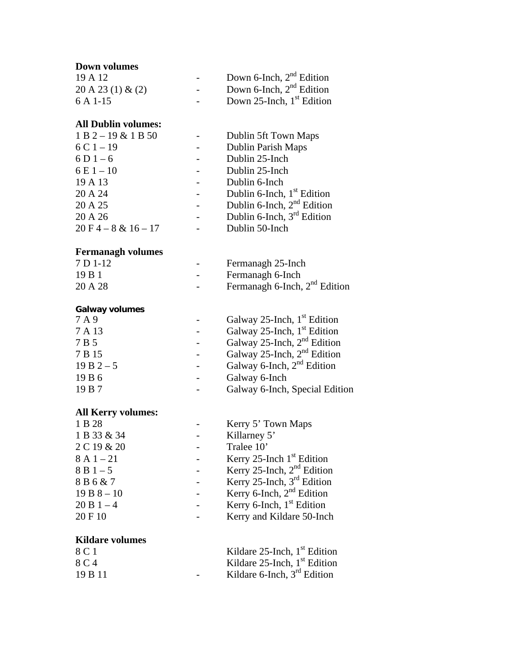# **Down volumes** 19 A 12 - Down 6-Inch,  $2<sup>nd</sup>$  Edition 20 A 23 (1) & (2)  $\blacksquare$  Down 6-Inch,  $2<sup>nd</sup>$  Edition  $6 A 1-15$  - Down 25-Inch,  $1<sup>st</sup>$  Edition **All Dublin volumes:**  1 B 2 – 19 & 1 B 50 - Dublin 5ft Town Maps  $6 \text{ C} 1 - 19$  - Dublin Parish Maps  $6 D 1 - 6$  - Dublin 25-Inch  $6 \text{ E } 1 - 10$  - Dublin 25-Inch 19 A 13 - Dublin 6-Inch  $20 \text{ A } 24$  - Dublin 6-Inch,  $1^{\text{st}}$  Edition  $20 \text{ A } 25$  - Dublin 6-Inch,  $2^{\text{nd}}$  Edition  $20 \text{ A } 26$  - Dublin 6-Inch,  $3^{\text{rd}}$  Edition  $20 F 4 - 8 & 16 - 17$  - Dublin 50-Inch **Fermanagh volumes** 7 D 1-12 Fermanagh 25-Inch 19 B 1 - Fermanagh 6-Inch 20 A 28 - Fermanagh 6-Inch,  $2^{nd}$  Edition **Galway volumes**  $7 A 9$  - Galway 25-Inch, 1<sup>st</sup> Edition 7 A 13 **Galway 25-Inch, 1st Edition**  $7 B 5$  - Galway 25-Inch,  $2<sup>nd</sup>$  Edition  $7 B 15$  - Galway 25-Inch,  $2<sup>nd</sup>$  Edition 19 B  $2-5$  - Galway 6-Inch,  $2^{nd}$  Edition 19 B 6 - Galway 6-Inch 19 B 7 - Galway 6-Inch, Special Edition **All Kerry volumes:** 1 B 28 - Kerry 5' Town Maps

| 1 B 28       | Kerry 5' Town Maps                     |
|--------------|----------------------------------------|
| 1 B 33 & 34  | Killarney 5'                           |
| 2 C 19 & 20  | Tralee 10'                             |
| $8A1 - 21$   | Kerry 25-Inch $1st$ Edition            |
| $8B1-5$      | Kerry 25-Inch, $2nd$ Edition           |
| 8 B 6 & 7    | Kerry 25-Inch, 3 <sup>rd</sup> Edition |
| $19B8 - 10$  | Kerry 6-Inch, $2nd$ Edition            |
| $20 B 1 - 4$ | Kerry 6-Inch, $1st$ Edition            |
| 20 F 10      | Kerry and Kildare 50-Inch              |
|              |                                        |
|              |                                        |

## **Kildare volumes**

| 8 C 1   | Kildare $25$ -Inch, $1st$ Edition |
|---------|-----------------------------------|
| 8 C 4   | Kildare $25$ -Inch, $1st$ Edition |
| 19 B 11 | Kildare 6-Inch, $3rd$ Edition     |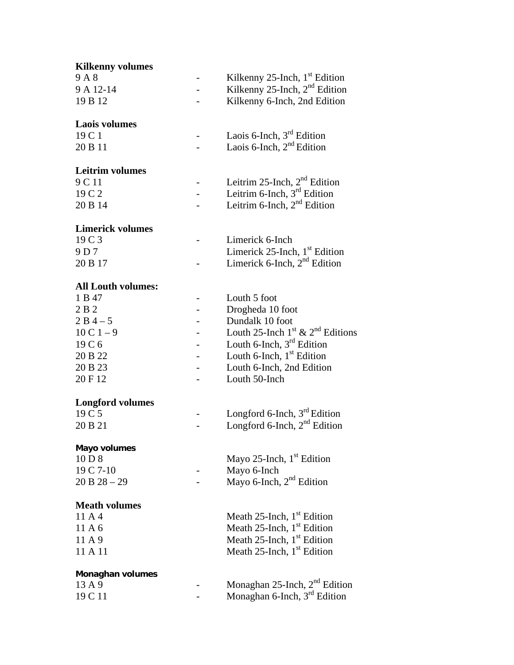| <b>Kilkenny volumes</b>   |                                                          |
|---------------------------|----------------------------------------------------------|
| 9A8                       | Kilkenny 25-Inch, $1st$ Edition                          |
| 9 A 12-14                 | Kilkenny 25-Inch, $2nd$ Edition                          |
| 19 B 12                   | Kilkenny 6-Inch, 2nd Edition                             |
| <b>Laois volumes</b>      |                                                          |
| 19 C 1                    | Laois 6-Inch, 3 <sup>rd</sup> Edition                    |
| 20 B 11                   | Laois 6-Inch, $2nd$ Edition                              |
| <b>Leitrim volumes</b>    |                                                          |
| 9 C 11                    | Leitrim 25-Inch, $2nd$ Edition                           |
| 19 C 2                    | Leitrim 6-Inch, $3rd$ Edition                            |
| 20 B 14                   | Leitrim 6-Inch, $2nd$ Edition                            |
| <b>Limerick volumes</b>   |                                                          |
| 19 C 3                    | Limerick 6-Inch                                          |
| 9 D 7                     | Limerick $25$ -Inch, $1st$ Edition                       |
| 20 B 17                   | Limerick 6-Inch, $2nd$ Edition                           |
| <b>All Louth volumes:</b> |                                                          |
| 1 B 47                    | Louth 5 foot                                             |
| 2 B 2                     | Drogheda 10 foot                                         |
| $2B4-5$                   | Dundalk 10 foot                                          |
| $10 C 1 - 9$              | Louth 25-Inch 1 <sup>st</sup> & 2 <sup>nd</sup> Editions |
| 19 C 6                    | Louth 6-Inch, $3rd$ Edition                              |
| 20 B 22                   | Louth 6-Inch, $1st$ Edition                              |
| 20 B 23                   | Louth 6-Inch, 2nd Edition                                |
| 20 F 12                   | Louth 50-Inch                                            |
| <b>Longford volumes</b>   |                                                          |
| 19 C 5                    | Longford 6-Inch, 3 <sup>rd</sup> Edition                 |
| 20 B 21                   | Longford 6-Inch, $2nd$ Edition                           |
| Mayo volumes              |                                                          |
| 10 D 8                    | Mayo 25-Inch, 1 <sup>st</sup> Edition                    |
| 19 C 7-10                 | Mayo 6-Inch                                              |
| $20 B 28 - 29$            | Mayo 6-Inch, $2nd$ Edition                               |
| <b>Meath volumes</b>      |                                                          |
| 11 A 4                    | Meath 25-Inch, $1st$ Edition                             |
| 11 A 6                    | Meath 25-Inch, $1st$ Edition                             |
| 11A9                      | Meath 25-Inch, $1st$ Edition                             |
| 11 A 11                   | Meath 25-Inch, $1st$ Edition                             |
| Monaghan volumes          |                                                          |
| 13A9                      | Monaghan $25$ -Inch, $2nd$ Edition                       |
| 19 C 11                   | Monaghan 6-Inch, 3 <sup>rd</sup> Edition                 |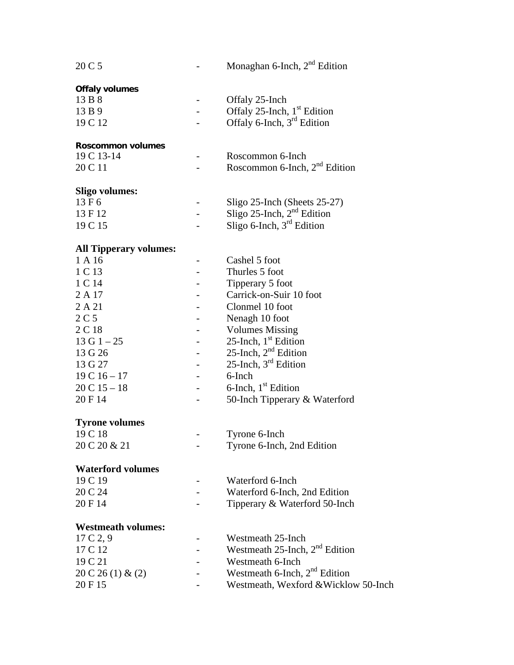| 20 C 5                        |                          | Monaghan 6-Inch, $2nd$ Edition            |
|-------------------------------|--------------------------|-------------------------------------------|
| Offaly volumes                |                          |                                           |
| 13 B 8                        |                          | Offaly 25-Inch                            |
| 13 B 9                        |                          | Offaly 25-Inch, $1st$ Edition             |
| 19 C 12                       |                          | Offaly 6-Inch, $3rd$ Edition              |
|                               |                          |                                           |
| Roscommon volumes             |                          |                                           |
| 19 C 13-14                    |                          | Roscommon 6-Inch                          |
| 20 C 11                       |                          | Roscommon 6-Inch, 2 <sup>nd</sup> Edition |
|                               |                          |                                           |
| <b>Sligo volumes:</b>         |                          |                                           |
| 13 F 6                        |                          | Sligo 25-Inch (Sheets 25-27)              |
| 13 F 12                       |                          | Sligo 25-Inch, $2nd$ Edition              |
| 19 C 15                       |                          | Sligo 6-Inch, 3rd Edition                 |
|                               |                          |                                           |
| <b>All Tipperary volumes:</b> |                          |                                           |
| 1 A 16                        |                          | Cashel 5 foot                             |
| 1 C 13                        |                          | Thurles 5 foot                            |
| 1 C 14                        |                          | Tipperary 5 foot                          |
| 2 A 17                        |                          | Carrick-on-Suir 10 foot                   |
| 2A21                          |                          | Clonmel 10 foot                           |
| 2C <sub>5</sub>               |                          | Nenagh 10 foot                            |
| 2 C 18                        |                          | <b>Volumes Missing</b>                    |
| $13 G 1 - 25$                 |                          | 25-Inch, 1 <sup>st</sup> Edition          |
| 13 G 26                       |                          | 25-Inch, $2^{nd}$ Edition                 |
| 13 G 27                       |                          | 25-Inch, 3 <sup>rd</sup> Edition          |
|                               | -                        |                                           |
| $19C16 - 17$                  |                          | 6-Inch                                    |
| $20 C 15 - 18$                | $\overline{\phantom{0}}$ | 6-Inch, $1st$ Edition                     |
| 20 F 14                       |                          | 50-Inch Tipperary & Waterford             |
| <b>Tyrone volumes</b>         |                          |                                           |
| 19 C 18                       |                          | Tyrone 6-Inch                             |
| 20 C 20 & 21                  |                          | Tyrone 6-Inch, 2nd Edition                |
|                               |                          |                                           |
| <b>Waterford volumes</b>      |                          |                                           |
| 19 C 19                       |                          | Waterford 6-Inch                          |
| 20 C 24                       |                          | Waterford 6-Inch, 2nd Edition             |
| 20 F 14                       |                          | Tipperary & Waterford 50-Inch             |
|                               |                          |                                           |
| <b>Westmeath volumes:</b>     |                          |                                           |
| 17 C 2, 9                     |                          | Westmeath 25-Inch                         |
| 17 C 12                       |                          | Westmeath $25$ -Inch, $2nd$ Edition       |
| 19 C 21                       |                          | Westmeath 6-Inch                          |
| 20 C 26 (1) & (2)             |                          | Westmeath 6-Inch, $2nd$ Edition           |
| 20 F 15                       |                          | Westmeath, Wexford & Wicklow 50-Inch      |
|                               |                          |                                           |